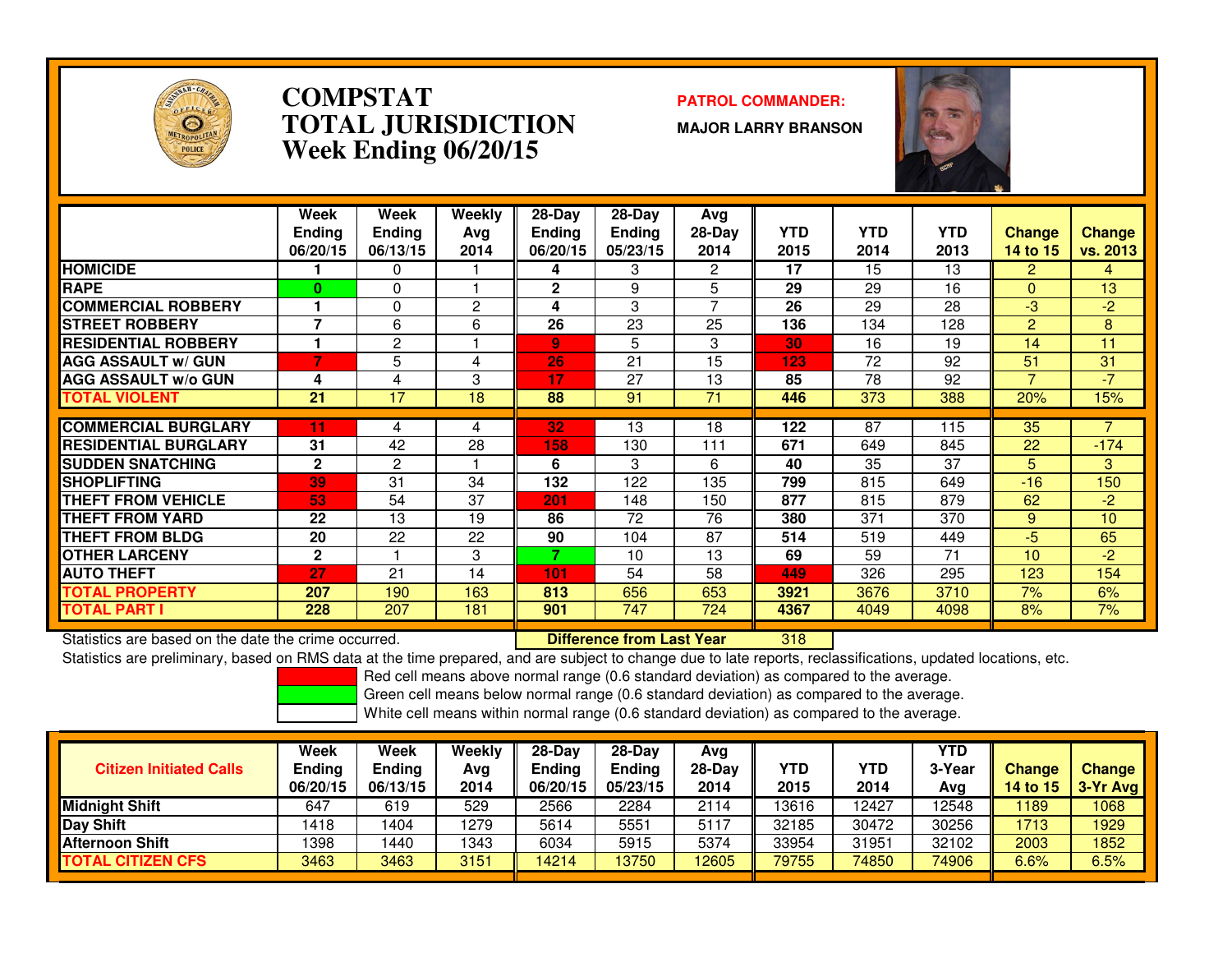

#### **COMPSTAT PATROL COMMANDER: TOTAL JURISDICTIONWeek Ending 06/20/15**

**MAJOR LARRY BRANSON**



|                             | Week<br><b>Ending</b><br>06/20/15 | Week<br><b>Ending</b><br>06/13/15 | Weekly<br>Avg<br>2014 | $28-Day$<br><b>Ending</b><br>06/20/15 | $28$ -Day<br>Ending<br>05/23/15 | Avg<br>$28-Day$<br>2014 | <b>YTD</b><br>2015 | <b>YTD</b><br>2014 | <b>YTD</b><br>2013 | <b>Change</b><br>14 to 15 | <b>Change</b><br>vs. 2013 |
|-----------------------------|-----------------------------------|-----------------------------------|-----------------------|---------------------------------------|---------------------------------|-------------------------|--------------------|--------------------|--------------------|---------------------------|---------------------------|
| <b>HOMICIDE</b>             |                                   | 0                                 |                       | 4                                     | 3                               | 2                       | 17                 | 15                 | 13                 | $\overline{2}$            | 4                         |
| <b>RAPE</b>                 | $\mathbf{0}$                      | 0                                 |                       | $\mathbf{2}$                          | 9                               | 5                       | 29                 | 29                 | 16                 | $\Omega$                  | 13                        |
| <b>COMMERCIAL ROBBERY</b>   |                                   | 0                                 | 2                     | 4                                     | 3                               | 7                       | 26                 | 29                 | 28                 | $-3$                      | $-2$                      |
| <b>STREET ROBBERY</b>       | 7                                 | 6                                 | 6                     | 26                                    | 23                              | 25                      | 136                | 134                | 128                | $\overline{2}$            | 8                         |
| <b>RESIDENTIAL ROBBERY</b>  |                                   | 2                                 |                       | $\overline{9}$                        | 5                               | 3                       | 30                 | 16                 | 19                 | 14                        | 11                        |
| <b>AGG ASSAULT w/ GUN</b>   |                                   | 5.                                | 4                     | 26                                    | 21                              | 15                      | 123                | 72                 | 92                 | 51                        | 31                        |
| <b>AGG ASSAULT w/o GUN</b>  | 4                                 | 4                                 | 3                     | 17                                    | 27                              | 13                      | 85                 | 78                 | 92                 | 7                         | $-7$                      |
| <b>TOTAL VIOLENT</b>        | 21                                | 17                                | 18                    | 88                                    | 91                              | 71                      | 446                | 373                | 388                | 20%                       | 15%                       |
|                             |                                   |                                   |                       |                                       |                                 |                         |                    |                    |                    |                           |                           |
| <b>COMMERCIAL BURGLARY</b>  | 11                                | 4                                 | 4                     | 32                                    | 13                              | 18                      | 122                | 87                 | 115                | 35                        |                           |
| <b>RESIDENTIAL BURGLARY</b> | 31                                | 42                                | 28                    | 158                                   | 130                             | 111                     | 671                | 649                | 845                | 22                        | $-174$                    |
| <b>SUDDEN SNATCHING</b>     | $\mathbf{2}$                      | $\overline{c}$                    |                       | 6                                     | 3                               | 6                       | 40                 | 35                 | 37                 | 5.                        | 3                         |
| <b>SHOPLIFTING</b>          | 39                                | 31                                | 34                    | 132                                   | 122                             | 135                     | 799                | 815                | 649                | $-16$                     | 150                       |
| <b>THEFT FROM VEHICLE</b>   | 53                                | 54                                | 37                    | 201                                   | 148                             | 150                     | 877                | 815                | 879                | 62                        | $-2$                      |
| <b>THEFT FROM YARD</b>      | 22                                | 13                                | 19                    | 86                                    | 72                              | 76                      | 380                | 371                | 370                | 9                         | 10                        |
| <b>THEFT FROM BLDG</b>      | 20                                | 22                                | 22                    | 90                                    | 104                             | 87                      | 514                | 519                | 449                | $-5$                      | 65                        |
| <b>OTHER LARCENY</b>        | $\mathbf{2}$                      |                                   | 3                     | 7                                     | 10                              | 13                      | 69                 | 59                 | 71                 | 10                        | $-2$                      |
| <b>AUTO THEFT</b>           | 27                                | 21                                | 14                    | 101                                   | 54                              | 58                      | 449                | 326                | 295                | 123                       | 154                       |
| TOTAL PROPERTY              | 207                               | 190                               | 163                   | 813                                   | 656                             | 653                     | 3921               | 3676               | 3710               | 7%                        | 6%                        |
| <b>TOTAL PART I</b>         | 228                               | 207                               | 181                   | 901                                   | 747                             | 724                     | 4367               | 4049               | 4098               | 8%                        | 7%                        |

Statistics are based on the date the crime occurred. **Difference from Last Year** 

Statistics are based on the date the crime occurred. **Interpree the Supersed Conference from Last Year** Matern Ma<br>Statistics are preliminary, based on RMS data at the time prepared, and are subject to change due to late re

Red cell means above normal range (0.6 standard deviation) as compared to the average.

Green cell means below normal range (0.6 standard deviation) as compared to the average.

| <b>Citizen Initiated Calls</b> | Week<br><b>Ending</b><br>06/20/15 | Week<br><b>Ending</b><br>06/13/15 | Weekly<br>Avg<br>2014 | $28-Dav$<br><b>Ending</b><br>06/20/15 | $28-Day$<br><b>Ending</b><br>05/23/15 | Avg<br>$28-Day$<br>2014 | YTD<br>2015 | YTD<br>2014 | <b>YTD</b><br>3-Year<br>Avg | <b>Change</b><br>14 to $15$ | <b>Change</b><br>$3-Yr$ Avg |
|--------------------------------|-----------------------------------|-----------------------------------|-----------------------|---------------------------------------|---------------------------------------|-------------------------|-------------|-------------|-----------------------------|-----------------------------|-----------------------------|
| <b>Midnight Shift</b>          | 647                               | 619                               | 529                   | 2566                                  | 2284                                  | 2114                    | 13616       | 12427       | 12548                       | 189                         | 1068                        |
| Day Shift                      | 1418                              | 404                               | 1279                  | 5614                                  | 5551                                  | 5117                    | 32185       | 30472       | 30256                       | 1713                        | 1929                        |
| <b>Afternoon Shift</b>         | 1398                              | 440                               | 1343                  | 6034                                  | 5915                                  | 5374                    | 33954       | 31951       | 32102                       | 2003                        | 1852                        |
| <b>TOTAL CITIZEN CFS</b>       | 3463                              | 3463                              | 3151                  | 14214                                 | 13750                                 | 12605                   | 79755       | 74850       | 74906                       | 6.6%                        | 6.5%                        |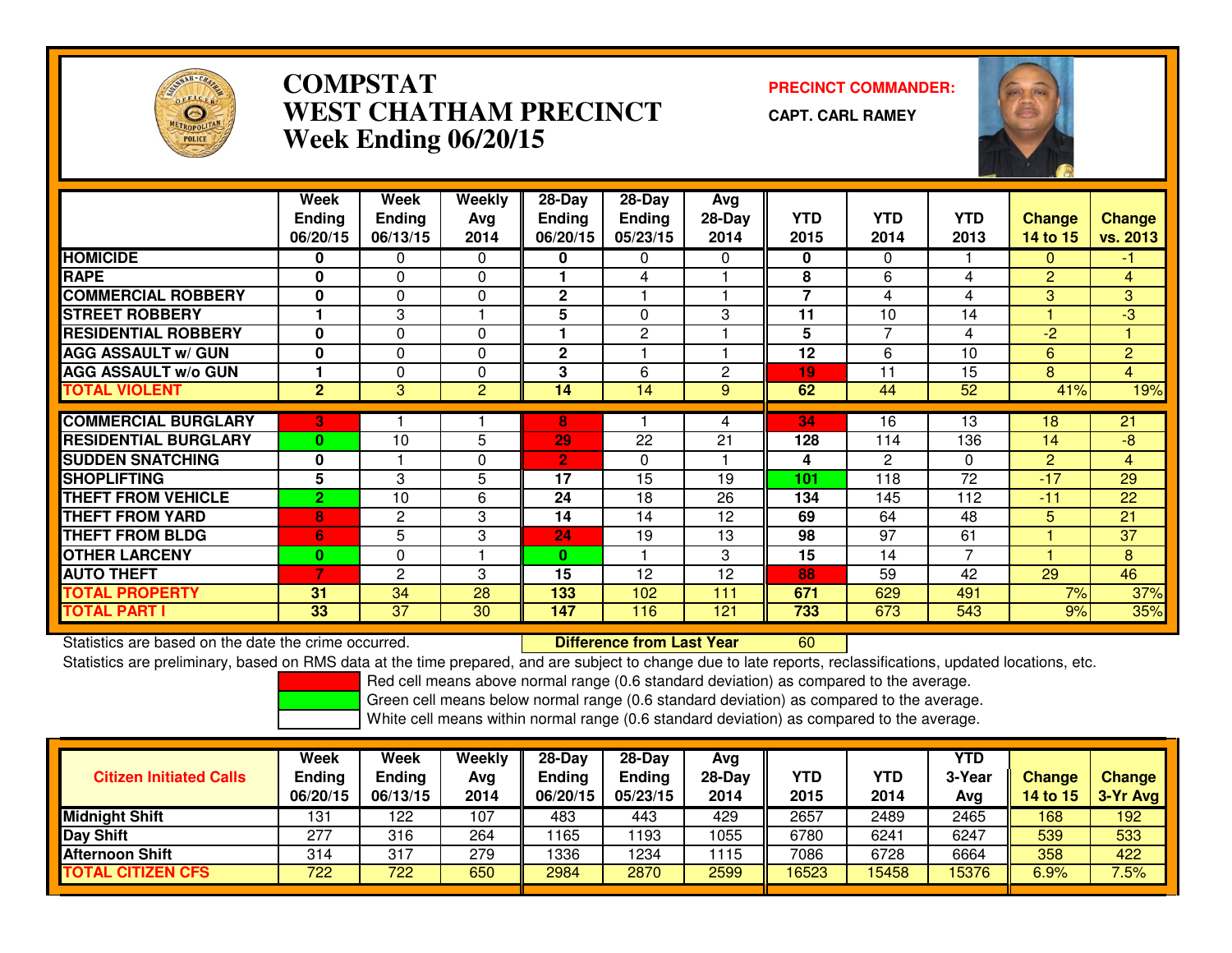

# **COMPSTAT PRECINCT COMMANDER: WEST CHATHAM PRECINCTWeek Ending 06/20/15**

**CAPT. CARL RAMEY**

<sup>60</sup>



|                             | Week<br><b>Ending</b> | Week<br><b>Ending</b> | Weekly<br>Avg  | 28-Day<br><b>Ending</b> | 28-Day<br><b>Ending</b> | Avg<br>28-Day | <b>YTD</b>     | <b>YTD</b>     | YTD            | <b>Change</b>  | <b>Change</b>   |
|-----------------------------|-----------------------|-----------------------|----------------|-------------------------|-------------------------|---------------|----------------|----------------|----------------|----------------|-----------------|
|                             | 06/20/15              | 06/13/15              | 2014           | 06/20/15                | 05/23/15                | 2014          | 2015           | 2014           | 2013           | 14 to 15       | vs. 2013        |
| <b>HOMICIDE</b>             | 0                     | 0                     | 0              | 0                       | 0                       | 0             | 0              | 0              |                | 0              | -1              |
| <b>RAPE</b>                 | 0                     | $\Omega$              | $\Omega$       |                         | 4                       |               | 8              | 6              | 4              | $\overline{2}$ | $\overline{4}$  |
| <b>COMMERCIAL ROBBERY</b>   | $\mathbf{0}$          | 0                     | $\Omega$       | $\mathbf{2}$            |                         |               | $\overline{7}$ | 4              | 4              | 3              | 3               |
| <b>ISTREET ROBBERY</b>      |                       | 3                     |                | 5                       | 0                       | 3             | 11             | 10             | 14             |                | -3              |
| <b>RESIDENTIAL ROBBERY</b>  | 0                     | 0                     | $\Omega$       |                         | 2                       |               | 5              | 7              | 4              | $-2$           |                 |
| <b>AGG ASSAULT w/ GUN</b>   | 0                     | $\Omega$              | $\Omega$       | $\mathbf{2}$            |                         |               | 12             | 6              | 10             | 6              | $\overline{2}$  |
| <b>AGG ASSAULT w/o GUN</b>  |                       | $\Omega$              | $\Omega$       | 3                       | 6                       | 2             | 19             | 11             | 15             | 8              | $\overline{4}$  |
| <b>TOTAL VIOLENT</b>        | $\overline{2}$        | 3                     | $\overline{2}$ | 14                      | 14                      | 9             | 62             | 44             | 52             | 41%            | 19%             |
| <b>COMMERCIAL BURGLARY</b>  | 3                     |                       |                | 8                       |                         | 4             | 34             | 16             | 13             | 18             | 21              |
| <b>RESIDENTIAL BURGLARY</b> | $\bf{0}$              | 10                    | 5              | 29                      | 22                      | 21            | 128            | 114            | 136            | 14             | -8              |
| <b>SUDDEN SNATCHING</b>     | $\mathbf{0}$          |                       | $\Omega$       | $\overline{2}$          | 0                       |               | 4              | $\overline{2}$ | $\Omega$       | $\overline{2}$ | $\overline{4}$  |
| <b>SHOPLIFTING</b>          | 5                     | 3                     | 5              | 17                      | 15                      | 19            | 101            | 118            | 72             | $-17$          | 29              |
| <b>THEFT FROM VEHICLE</b>   | $\overline{2}$        | 10                    | 6              | 24                      | 18                      | 26            | 134            | 145            | 112            | $-11$          | 22              |
| <b>THEFT FROM YARD</b>      | 8                     | 2                     | 3              | 14                      | 14                      | 12            | 69             | 64             | 48             | 5              | 21              |
| <b>THEFT FROM BLDG</b>      | 6                     | 5                     | 3              | 24                      | 19                      | 13            | 98             | 97             | 61             |                | $\overline{37}$ |
| <b>OTHER LARCENY</b>        | $\bf{0}$              | $\Omega$              |                | 0                       |                         | 3             | 15             | 14             | $\overline{7}$ |                | 8               |
| <b>AUTO THEFT</b>           | 7                     | $\mathbf{2}$          | 3              | 15                      | 12                      | 12            | 88             | 59             | 42             | 29             | 46              |
| <b>TOTAL PROPERTY</b>       | 31                    | 34                    | 28             | 133                     | 102                     | 111           | 671            | 629            | 491            | 7%             | 37%             |
| <b>TOTAL PART I</b>         | 33                    | 37                    | 30             | 147                     | 116                     | 121           | 733            | 673            | 543            | 9%             | 35%             |

Statistics are based on the date the crime occurred. **Difference from Last Year** 

Statistics are preliminary, based on RMS data at the time prepared, and are subject to change due to late reports, reclassifications, updated locations, etc.

Red cell means above normal range (0.6 standard deviation) as compared to the average.

Green cell means below normal range (0.6 standard deviation) as compared to the average.

| <b>Citizen Initiated Calls</b> | Week<br><b>Ending</b> | <b>Week</b><br><b>Ending</b> | Weekly<br>Avg | $28-Day$<br><b>Ending</b> | $28-Day$<br><b>Ending</b> | Avg<br>$28-Day$ | YTD   | <b>YTD</b> | YTD<br>3-Year | <b>Change</b>   | <b>Change</b> |
|--------------------------------|-----------------------|------------------------------|---------------|---------------------------|---------------------------|-----------------|-------|------------|---------------|-----------------|---------------|
|                                | 06/20/15              | 06/13/15                     | 2014          | 06/20/15                  | 05/23/15                  | 2014            | 2015  | 2014       | Avg           | <b>14 to 15</b> | 3-Yr Avg      |
| <b>Midnight Shift</b>          | 131                   | 122                          | 107           | 483                       | 443                       | 429             | 2657  | 2489       | 2465          | 168             | 192           |
| <b>Day Shift</b>               | 277                   | 316                          | 264           | 1165                      | 193                       | 1055            | 6780  | 6241       | 6247          | 539             | 533           |
| <b>Afternoon Shift</b>         | 314                   | 317                          | 279           | 1336                      | '234                      | 1115            | 7086  | 6728       | 6664          | 358             | 422           |
| <b>TOTAL CITIZEN CFS</b>       | 722                   | 722                          | 650           | 2984                      | 2870                      | 2599            | 16523 | 5458       | 15376         | 6.9%            | 7.5%          |
|                                |                       |                              |               |                           |                           |                 |       |            |               |                 |               |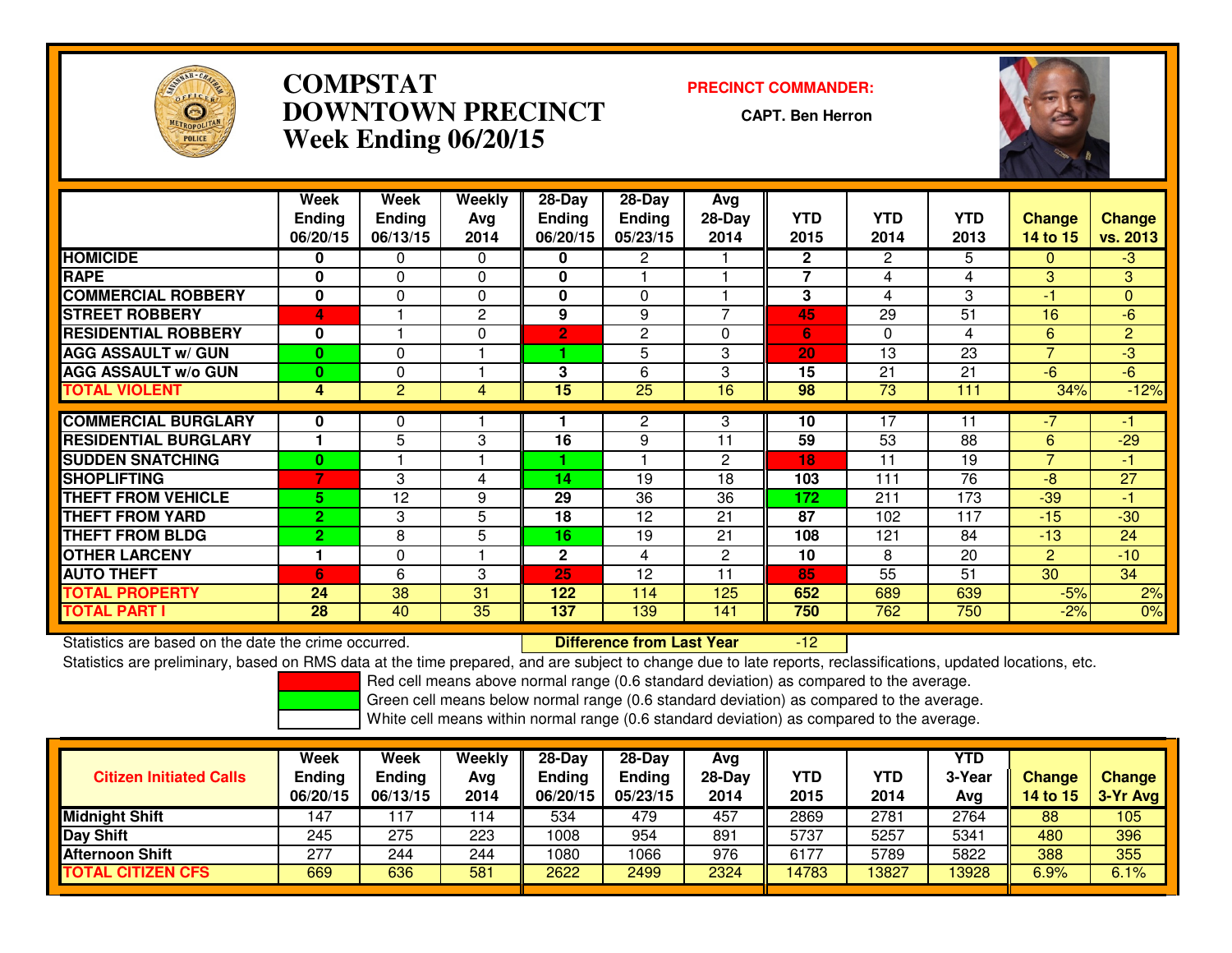

# **COMPSTAT PRECINCT COMMANDER: DOWNTOWN PRECINCTWeek Ending 06/20/15**

**CAPT. Ben Herron**

-12



|                             | Week<br><b>Ending</b><br>06/20/15 | Week<br><b>Ending</b><br>06/13/15 | Weekly<br>Avg<br>2014 | $28-Day$<br><b>Ending</b><br>06/20/15 | $28$ -Day<br><b>Ending</b><br>05/23/15 | Avg<br>$28-Day$<br>2014 | <b>YTD</b><br>2015 | <b>YTD</b><br>2014 | <b>YTD</b><br>2013 | <b>Change</b><br><b>14 to 15</b> | Change<br>vs. 2013 |
|-----------------------------|-----------------------------------|-----------------------------------|-----------------------|---------------------------------------|----------------------------------------|-------------------------|--------------------|--------------------|--------------------|----------------------------------|--------------------|
| <b>HOMICIDE</b>             | 0                                 | 0                                 | $\Omega$              | 0                                     | 2                                      |                         | $\mathbf{2}$       | 2                  | 5                  | $\Omega$                         | $-3$               |
| <b>RAPE</b>                 | $\bf{0}$                          | $\Omega$                          | $\Omega$              | 0                                     |                                        |                         | 7                  | 4                  | 4                  | 3                                | 3                  |
| <b>COMMERCIAL ROBBERY</b>   | $\bf{0}$                          | $\Omega$                          | 0                     | 0                                     | $\Omega$                               |                         | 3                  | 4                  | 3                  | -1                               | $\mathbf{0}$       |
| <b>STREET ROBBERY</b>       | 4                                 |                                   | $\mathbf{2}$          | 9                                     | 9                                      | 7                       | 45                 | 29                 | 51                 | 16                               | $-6$               |
| <b>RESIDENTIAL ROBBERY</b>  | $\bf{0}$                          |                                   | $\Omega$              | $\overline{2}$                        | $\mathbf{2}$                           | 0                       | 6                  | 0                  | 4                  | 6                                | $\overline{2}$     |
| <b>AGG ASSAULT w/ GUN</b>   | $\bf{0}$                          | $\Omega$                          |                       |                                       | 5                                      | 3                       | 20                 | 13                 | 23                 | $\overline{ }$                   | $-3$               |
| <b>AGG ASSAULT w/o GUN</b>  | $\bf{0}$                          | 0                                 |                       | 3                                     | 6                                      | 3                       | 15                 | 21                 | 21                 | $-6$                             | -6                 |
| <b>TOTAL VIOLENT</b>        | 4                                 | $\overline{2}$                    | 4                     | 15                                    | $\overline{25}$                        | 16                      | 98                 | $\overline{73}$    | 111                | 34%                              | $-12%$             |
|                             |                                   |                                   |                       |                                       |                                        |                         |                    |                    |                    |                                  |                    |
| <b>COMMERCIAL BURGLARY</b>  | 0                                 | 0                                 |                       |                                       | $\overline{c}$                         | 3                       | 10                 | 17                 | 11                 | $-7$                             | -1                 |
| <b>RESIDENTIAL BURGLARY</b> |                                   | 5                                 | 3                     | 16                                    | 9                                      | 11                      | 59                 | 53                 | 88                 | 6                                | $-29$              |
| <b>SUDDEN SNATCHING</b>     | $\bf{0}$                          |                                   |                       |                                       |                                        | $\mathbf{2}$            | 18                 | 11                 | 19                 | $\overline{ }$                   | $-1$               |
| <b>SHOPLIFTING</b>          | 7                                 | 3                                 | 4                     | 14                                    | 19                                     | 18                      | 103                | 111                | 76                 | $-8$                             | 27                 |
| <b>THEFT FROM VEHICLE</b>   | 5.                                | 12                                | 9                     | 29                                    | 36                                     | 36                      | 172                | 211                | 173                | $-39$                            | $-1$               |
| <b>THEFT FROM YARD</b>      | $\overline{2}$                    | 3                                 | 5                     | 18                                    | 12                                     | 21                      | 87                 | 102                | 117                | $-15$                            | $-30$              |
| <b>THEFT FROM BLDG</b>      | $\overline{2}$                    | 8                                 | 5                     | 16                                    | 19                                     | 21                      | 108                | 121                | 84                 | $-13$                            | 24                 |
| <b>OTHER LARCENY</b>        |                                   | $\Omega$                          |                       | $\mathbf{2}$                          | 4                                      | $\mathbf{2}$            | 10                 | 8                  | 20                 | $\overline{2}$                   | $-10$              |
| <b>AUTO THEFT</b>           | 6                                 | 6                                 | 3                     | 25                                    | 12                                     | 11                      | 85                 | 55                 | 51                 | 30                               | 34                 |
| <b>TOTAL PROPERTY</b>       | 24                                | 38                                | 31                    | 122                                   | 114                                    | 125                     | 652                | 689                | 639                | $-5%$                            | 2%                 |
| <b>TOTAL PART I</b>         | 28                                | 40                                | 35                    | 137                                   | 139                                    | 141                     | 750                | 762                | 750                | $-2%$                            | 0%                 |

Statistics are based on the date the crime occurred. **Difference from Last Year** 

Statistics are preliminary, based on RMS data at the time prepared, and are subject to change due to late reports, reclassifications, updated locations, etc.

Red cell means above normal range (0.6 standard deviation) as compared to the average.

Green cell means below normal range (0.6 standard deviation) as compared to the average.

| <b>Citizen Initiated Calls</b> | Week<br><b>Ending</b><br>06/20/15 | Week<br><b>Ending</b><br>06/13/15 | Weekly<br>Avg<br>2014 | $28-Dav$<br><b>Ending</b><br>06/20/15 | $28-Dav$<br><b>Ending</b><br>05/23/15 | Avg<br>$28-Day$<br>2014 | YTD<br>2015 | YTD<br>2014 | <b>YTD</b><br>3-Year<br>Avg | <b>Change</b><br>14 to 15 | <b>Change</b><br>$3-Yr$ Avg |
|--------------------------------|-----------------------------------|-----------------------------------|-----------------------|---------------------------------------|---------------------------------------|-------------------------|-------------|-------------|-----------------------------|---------------------------|-----------------------------|
| <b>Midnight Shift</b>          | 147                               | 117                               | 114                   | 534                                   | 479                                   | 457                     | 2869        | 2781        | 2764                        | 88                        | 105                         |
| Day Shift                      | 245                               | 275                               | 223                   | 1008                                  | 954                                   | 891                     | 5737        | 5257        | 5341                        | 480                       | 396                         |
| <b>Afternoon Shift</b>         | 277                               | 244                               | 244                   | 1080                                  | 1066                                  | 976                     | 6177        | 5789        | 5822                        | 388                       | 355                         |
| <b>TOTAL CITIZEN CFS</b>       | 669                               | 636                               | 581                   | 2622                                  | 2499                                  | 2324                    | 14783       | 3827        | 13928                       | 6.9%                      | 6.1%                        |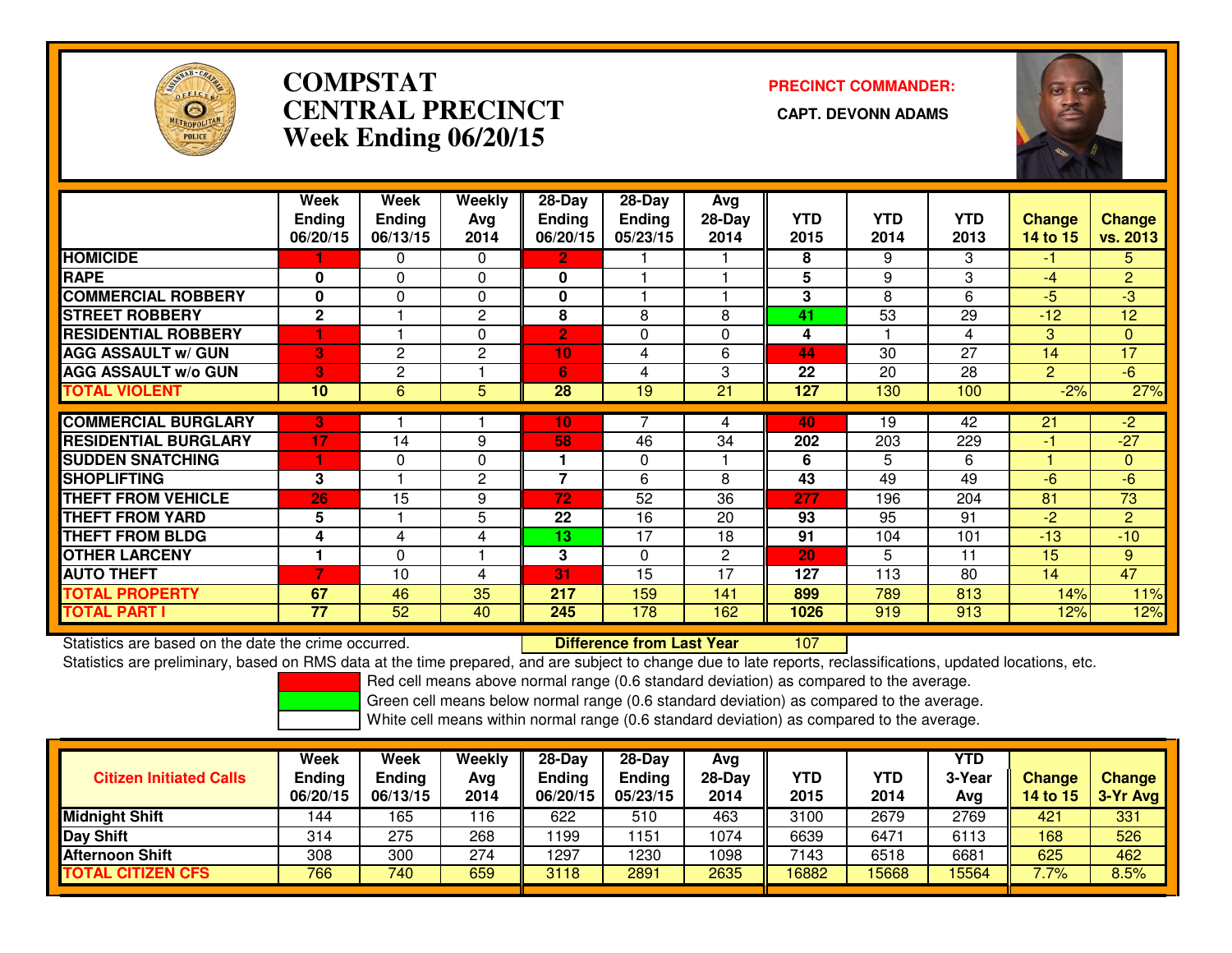

# **COMPSTATCENTRAL PRECINCT Week Ending 06/20/15**

**PRECINCT COMMANDER:**



|                             | Week<br><b>Ending</b><br>06/20/15 | Week<br><b>Endina</b><br>06/13/15 | Weekly<br>Avg<br>2014 | $28$ -Day<br><b>Ending</b><br>06/20/15 | $28-Day$<br><b>Ending</b><br>05/23/15 | Avg<br>$28-Day$<br>2014 | <b>YTD</b><br>2015 | <b>YTD</b><br>2014 | <b>YTD</b><br>2013 | <b>Change</b><br>14 to 15 | <b>Change</b><br>vs. 2013 |
|-----------------------------|-----------------------------------|-----------------------------------|-----------------------|----------------------------------------|---------------------------------------|-------------------------|--------------------|--------------------|--------------------|---------------------------|---------------------------|
| <b>HOMICIDE</b>             |                                   | 0                                 | $\Omega$              | $\mathbf{2}$                           |                                       |                         | 8                  | 9                  | 3                  | -1.                       | 5.                        |
| <b>RAPE</b>                 | 0                                 | 0                                 | $\mathbf{0}$          | 0                                      |                                       |                         | 5                  | 9                  | 3                  | -4                        | $\overline{2}$            |
| <b>COMMERCIAL ROBBERY</b>   | 0                                 | 0                                 | $\mathbf{0}$          | 0                                      |                                       |                         | 3                  | 8                  | 6                  | $-5$                      | -3                        |
| <b>STREET ROBBERY</b>       | $\mathbf{2}$                      |                                   | 2                     | 8                                      | 8                                     | 8                       | 41                 | 53                 | 29                 | $-12$                     | 12                        |
| <b>RESIDENTIAL ROBBERY</b>  |                                   |                                   | $\Omega$              | $\overline{2}$                         | 0                                     | 0                       | 4                  |                    | 4                  | 3                         | $\mathbf{0}$              |
| <b>AGG ASSAULT w/ GUN</b>   | 3                                 | 2                                 | $\overline{2}$        | 10                                     | 4                                     | 6                       | 44                 | 30                 | 27                 | 14                        | 17                        |
| <b>AGG ASSAULT w/o GUN</b>  | 3                                 | 2                                 |                       | 6                                      | 4                                     | 3                       | 22                 | 20                 | 28                 | $\overline{2}$            | $-6$                      |
| <b>TOTAL VIOLENT</b>        | 10                                | 6                                 | 5                     | 28                                     | 19                                    | 21                      | 127                | 130                | 100                | $-2%$                     | 27%                       |
|                             |                                   |                                   |                       |                                        |                                       |                         |                    |                    |                    |                           |                           |
| <b>COMMERCIAL BURGLARY</b>  | 3                                 |                                   |                       | 10                                     |                                       | 4                       | 40                 | 19                 | 42                 | 21                        | $-2$                      |
| <b>RESIDENTIAL BURGLARY</b> | 17                                | 14                                | 9                     | 58                                     | 46                                    | 34                      | 202                | 203                | 229                | $-1$                      | $-27$                     |
| <b>SUDDEN SNATCHING</b>     |                                   | $\Omega$                          | $\Omega$              | 1                                      | $\Omega$                              |                         | 6                  | 5                  | 6                  |                           | $\mathbf{0}$              |
| <b>SHOPLIFTING</b>          | 3                                 |                                   | 2                     | 7                                      | 6                                     | 8                       | 43                 | 49                 | 49                 | -6                        | $-6$                      |
| <b>THEFT FROM VEHICLE</b>   | 26                                | 15                                | 9                     | 72                                     | 52                                    | 36                      | 277                | 196                | 204                | 81                        | 73                        |
| <b>THEFT FROM YARD</b>      | 5                                 |                                   | 5                     | 22                                     | 16                                    | 20                      | 93                 | 95                 | 91                 | $-2$                      | 2                         |
| <b>THEFT FROM BLDG</b>      | 4                                 | 4                                 | 4                     | 13                                     | 17                                    | 18                      | 91                 | 104                | 101                | $-13$                     | $-10$                     |
| <b>OTHER LARCENY</b>        |                                   | $\Omega$                          |                       | 3                                      | $\Omega$                              | $\mathbf{2}$            | 20                 | 5                  | 11                 | 15                        | 9                         |
| <b>AUTO THEFT</b>           | 7                                 | 10                                | 4                     | 31                                     | 15                                    | 17                      | 127                | 113                | 80                 | 14                        | 47                        |
| <b>TOTAL PROPERTY</b>       | 67                                | 46                                | 35                    | 217                                    | 159                                   | 141                     | 899                | 789                | 813                | 14%                       | 11%                       |
| <b>TOTAL PART I</b>         | 77                                | 52                                | 40                    | 245                                    | 178                                   | 162                     | 1026               | 919                | 913                | 12%                       | 12%                       |

Statistics are based on the date the crime occurred. **Difference from Last Year** 

<sup>107</sup>

Statistics are preliminary, based on RMS data at the time prepared, and are subject to change due to late reports, reclassifications, updated locations, etc.

Red cell means above normal range (0.6 standard deviation) as compared to the average.

Green cell means below normal range (0.6 standard deviation) as compared to the average.

| <b>Citizen Initiated Calls</b> | Week<br><b>Ending</b> | <b>Week</b><br><b>Ending</b> | Weekly<br>Avg | $28-Dav$<br><b>Ending</b> | $28-Dav$<br><b>Ending</b> | Ava<br>$28-Day$ | YTD   | YTD  | YTD<br>3-Year | <b>Change</b>   | <b>Change</b> |
|--------------------------------|-----------------------|------------------------------|---------------|---------------------------|---------------------------|-----------------|-------|------|---------------|-----------------|---------------|
|                                | 06/20/15              | 06/13/15                     | 2014          | 06/20/15                  | 05/23/15                  | 2014            | 2015  | 2014 | Avg           | <b>14 to 15</b> | 3-Yr Avg      |
| <b>Midnight Shift</b>          | 144                   | 165                          | 116           | 622                       | 510                       | 463             | 3100  | 2679 | 2769          | 421             | 331           |
| <b>Day Shift</b>               | 314                   | 275                          | 268           | 199                       | 151                       | 1074            | 6639  | 6471 | 6113          | 168             | 526           |
| <b>Afternoon Shift</b>         | 308                   | 300                          | 274           | 1297                      | 230                       | 1098            | 7143  | 6518 | 6681          | 625             | 462           |
| <b>TOTAL CITIZEN CFS</b>       | 766                   | 740                          | 659           | 3118                      | 2891                      | 2635            | 16882 | 5668 | 15564         | $7.7\%$         | 8.5%          |
|                                |                       |                              |               |                           |                           |                 |       |      |               |                 |               |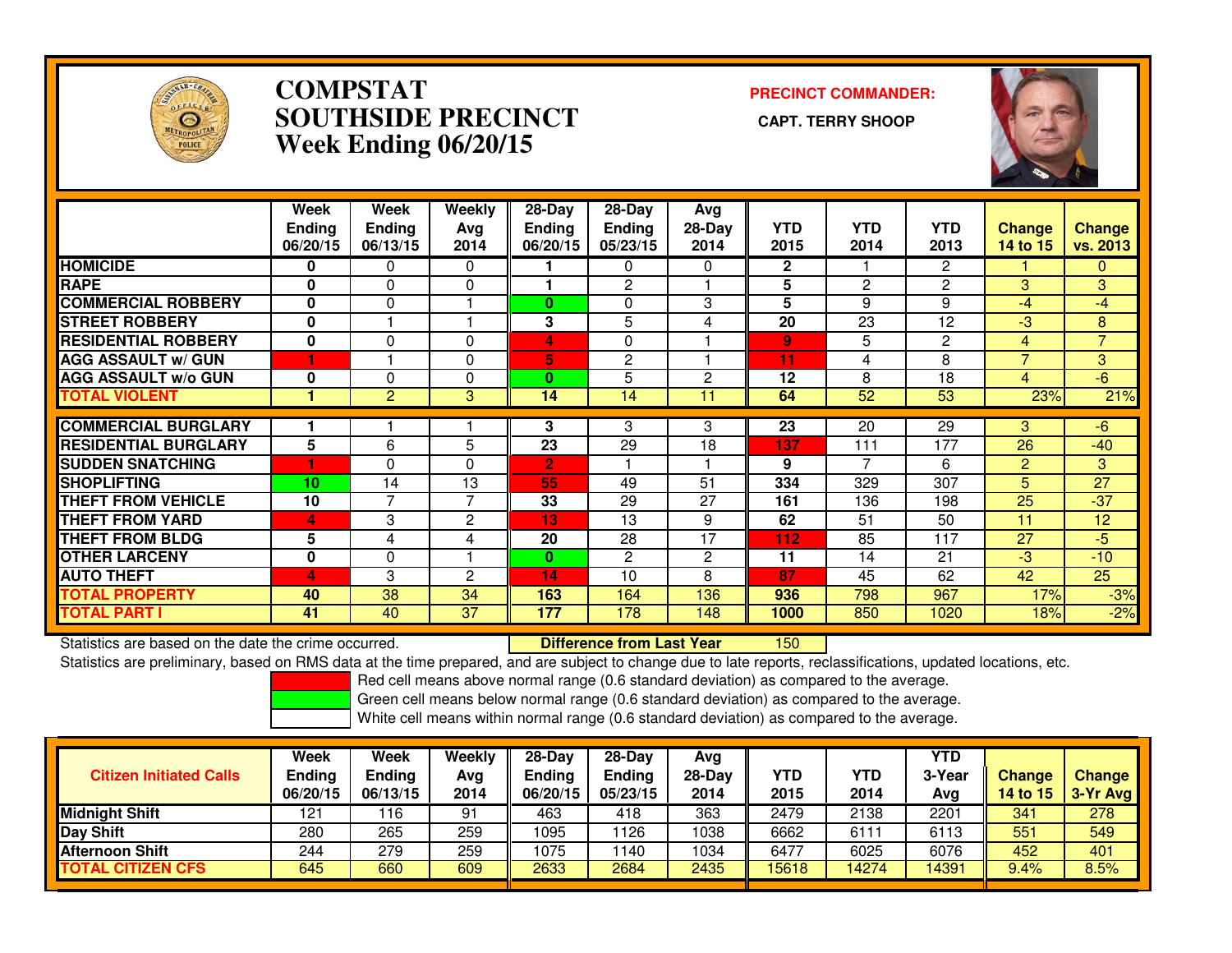

#### **COMPSTAT PRECINCT COMMANDER: SOUTHSIDE PRECINCT CAPT. TERRY SHOOPWeek Ending 06/20/15**



|                             | Week<br><b>Ending</b><br>06/20/15 | Week<br><b>Ending</b><br>06/13/15 | Weekly<br>Avg<br>2014 | $28-Day$<br><b>Ending</b><br>06/20/15 | $28-Day$<br><b>Ending</b><br>05/23/15 | Avg<br>$28-Day$<br>2014 | <b>YTD</b><br>2015 | <b>YTD</b><br>2014 | <b>YTD</b><br>2013 | <b>Change</b><br><b>14 to 15</b> | <b>Change</b><br><b>vs. 2013</b> |
|-----------------------------|-----------------------------------|-----------------------------------|-----------------------|---------------------------------------|---------------------------------------|-------------------------|--------------------|--------------------|--------------------|----------------------------------|----------------------------------|
| <b>HOMICIDE</b>             | $\mathbf{0}$                      | 0                                 | $\Omega$              |                                       | 0                                     | 0                       | $\mathbf{2}$       |                    | $\overline{2}$     |                                  | 0                                |
| <b>RAPE</b>                 | $\Omega$                          | 0                                 | 0                     |                                       | 2                                     |                         | 5                  | 2                  | 2                  | 3.                               | 3                                |
| <b>COMMERCIAL ROBBERY</b>   | $\bf{0}$                          | $\mathbf{0}$                      |                       | 0                                     | 0                                     | 3                       | 5                  | 9                  | 9                  | $-4$                             | $-4$                             |
| <b>STREET ROBBERY</b>       | $\bf{0}$                          |                                   |                       | 3                                     | 5                                     | 4                       | 20                 | 23                 | 12                 | $-3$                             | 8                                |
| <b>RESIDENTIAL ROBBERY</b>  | $\bf{0}$                          | $\Omega$                          | $\Omega$              | 4                                     | 0                                     |                         | $\overline{9}$     | 5                  | $\overline{2}$     | $\overline{4}$                   | $\overline{7}$                   |
| <b>AGG ASSAULT w/ GUN</b>   |                                   |                                   | 0                     | 5                                     | 2                                     |                         | 11                 | 4                  | 8                  | $\overline{\phantom{a}}$         | 3                                |
| <b>AGG ASSAULT w/o GUN</b>  | $\bf{0}$                          | 0                                 | $\Omega$              | $\mathbf{0}$                          | 5                                     | $\overline{c}$          | 12                 | 8                  | 18                 | 4                                | 6                                |
| <b>TOTAL VIOLENT</b>        |                                   | 2                                 | 3                     | 14                                    | 14                                    | 11                      | 64                 | 52                 | 53                 | 23%                              | 21%                              |
| <b>COMMERCIAL BURGLARY</b>  |                                   |                                   |                       | 3                                     | 3                                     | 3                       | 23                 | 20                 | 29                 | 3                                | $-6$                             |
| <b>RESIDENTIAL BURGLARY</b> | 5                                 | 6                                 | 5                     | 23                                    | 29                                    | 18                      | 137                | 111                | 177                | 26                               | $-40$                            |
|                             |                                   |                                   |                       |                                       |                                       |                         |                    | 7                  |                    |                                  |                                  |
| <b>SUDDEN SNATCHING</b>     |                                   | 0                                 | $\Omega$              | $\overline{2}$                        |                                       |                         | 9                  |                    | 6                  | $\overline{2}$                   | 3                                |
| <b>SHOPLIFTING</b>          | 10                                | 14                                | 13                    | 55                                    | 49                                    | 51                      | 334                | 329                | 307                | 5.                               | 27                               |
| <b>THEFT FROM VEHICLE</b>   | 10                                | 7                                 | 7                     | 33                                    | 29                                    | 27                      | 161                | 136                | 198                | 25                               | $-37$                            |
| <b>THEFT FROM YARD</b>      | 4                                 | 3                                 | 2                     | 13                                    | 13                                    | 9                       | 62                 | 51                 | 50                 | 11                               | 12                               |
| <b>THEFT FROM BLDG</b>      | 5                                 | 4                                 | 4                     | 20                                    | 28                                    | 17                      | 112                | 85                 | 117                | 27                               | -5                               |
| <b>OTHER LARCENY</b>        | $\mathbf 0$                       | 0                                 |                       | 0                                     | $\overline{2}$                        | 2                       | 11                 | 14                 | 21                 | $-3$                             | $-10$                            |
| <b>AUTO THEFT</b>           | 4                                 | 3                                 | $\overline{c}$        | 14                                    | 10                                    | 8                       | 87                 | 45                 | 62                 | 42                               | 25                               |
| <b>TOTAL PROPERTY</b>       | 40                                | 38                                | 34                    | 163                                   | 164                                   | 136                     | 936                | 798                | 967                | 17%                              | $-3%$                            |
| <b>TOTAL PART I</b>         | 41                                | 40                                | 37                    | 177                                   | 178                                   | 148                     | 1000               | 850                | 1020               | 18%                              | $-2%$                            |

Statistics are based on the date the crime occurred. **Difference from Last Year** 

<sup>150</sup>

Statistics are preliminary, based on RMS data at the time prepared, and are subject to change due to late reports, reclassifications, updated locations, etc.

Red cell means above normal range (0.6 standard deviation) as compared to the average.

Green cell means below normal range (0.6 standard deviation) as compared to the average.

| <b>Citizen Initiated Calls</b> | Week<br><b>Ending</b><br>06/20/15 | Week<br>Ending<br>06/13/15 | Weekly<br>Avg<br>2014 | $28-Dav$<br><b>Ending</b><br>06/20/15 | $28 - Day$<br><b>Ending</b><br>05/23/15 | Ava<br>28-Dav<br>2014 | YTD<br>2015 | YTD<br>2014 | <b>YTD</b><br>3-Year<br>Avg | <b>Change</b><br>14 to 15 | <b>Change</b><br>$\sqrt{3-Yr}$ Avg |
|--------------------------------|-----------------------------------|----------------------------|-----------------------|---------------------------------------|-----------------------------------------|-----------------------|-------------|-------------|-----------------------------|---------------------------|------------------------------------|
| <b>Midnight Shift</b>          | 121                               | ∣16                        | 91                    | 463                                   | 418                                     | 363                   | 2479        | 2138        | 2201                        | 341                       | 278                                |
| Day Shift                      | 280                               | 265                        | 259                   | 1095                                  | 126                                     | 1038                  | 6662        | 6111        | 6113                        | 551                       | 549                                |
| <b>Afternoon Shift</b>         | 244                               | 279                        | 259                   | 1075                                  | 140                                     | 1034                  | 6477        | 6025        | 6076                        | 452                       | 401                                |
| <b>TOTAL CITIZEN CFS</b>       | 645                               | 660                        | 609                   | 2633                                  | 2684                                    | 2435                  | 15618       | 4274        | 14391                       | 9.4%                      | 8.5%                               |